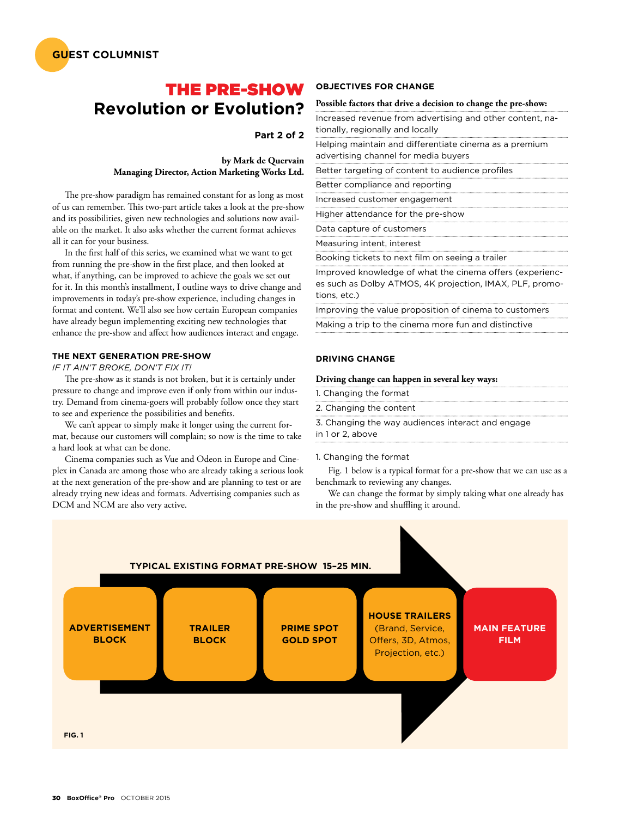

## THE PRE-SHOW **Revolution or Evolution?**

### **Part 2 of 2**

#### **by Mark de Quervain Managing Director, Action Marketing Works Ltd.**

The pre-show paradigm has remained constant for as long as most of us can remember. This two-part article takes a look at the pre-show and its possibilities, given new technologies and solutions now available on the market. It also asks whether the current format achieves all it can for your business.

In the first half of this series, we examined what we want to get from running the pre-show in the first place, and then looked at what, if anything, can be improved to achieve the goals we set out for it. In this month's installment, I outline ways to drive change and improvements in today's pre-show experience, including changes in format and content. We'll also see how certain European companies have already begun implementing exciting new technologies that enhance the pre-show and affect how audiences interact and engage.

#### **THE NEXT GENERATION PRE-SHOW**

#### *IF IT AIN'T BROKE, DON'T FIX IT!*

The pre-show as it stands is not broken, but it is certainly under pressure to change and improve even if only from within our industry. Demand from cinema-goers will probably follow once they start to see and experience the possibilities and benefits.

We can't appear to simply make it longer using the current format, because our customers will complain; so now is the time to take a hard look at what can be done.

Cinema companies such as Vue and Odeon in Europe and Cineplex in Canada are among those who are already taking a serious look at the next generation of the pre-show and are planning to test or are already trying new ideas and formats. Advertising companies such as DCM and NCM are also very active.

#### **OBJECTIVES FOR CHANGE**

#### **Possible factors that drive a decision to change the pre-show:**

| Increased revenue from advertising and other content, na-<br>tionally, regionally and locally                                        |
|--------------------------------------------------------------------------------------------------------------------------------------|
| Helping maintain and differentiate cinema as a premium<br>advertising channel for media buyers                                       |
| Better targeting of content to audience profiles                                                                                     |
| Better compliance and reporting                                                                                                      |
| Increased customer engagement                                                                                                        |
| Higher attendance for the pre-show                                                                                                   |
| Data capture of customers                                                                                                            |
| Measuring intent, interest                                                                                                           |
| Booking tickets to next film on seeing a trailer                                                                                     |
| Improved knowledge of what the cinema offers (experienc-<br>es such as Dolby ATMOS, 4K projection, IMAX, PLF, promo-<br>tions, etc.) |
| Improving the value proposition of cinema to customers                                                                               |
|                                                                                                                                      |

Making a trip to the cinema more fun and distinctive

#### **DRIVING CHANGE**

#### **Driving change can happen in several key ways:**

| 1. Changing the format                            |
|---------------------------------------------------|
| 2. Changing the content                           |
| 3. Changing the way audiences interact and engage |
| in 1 or 2, above                                  |
|                                                   |

#### 1. Changing the format

Fig. 1 below is a typical format for a pre-show that we can use as a benchmark to reviewing any changes.

We can change the format by simply taking what one already has in the pre-show and shuffling it around.

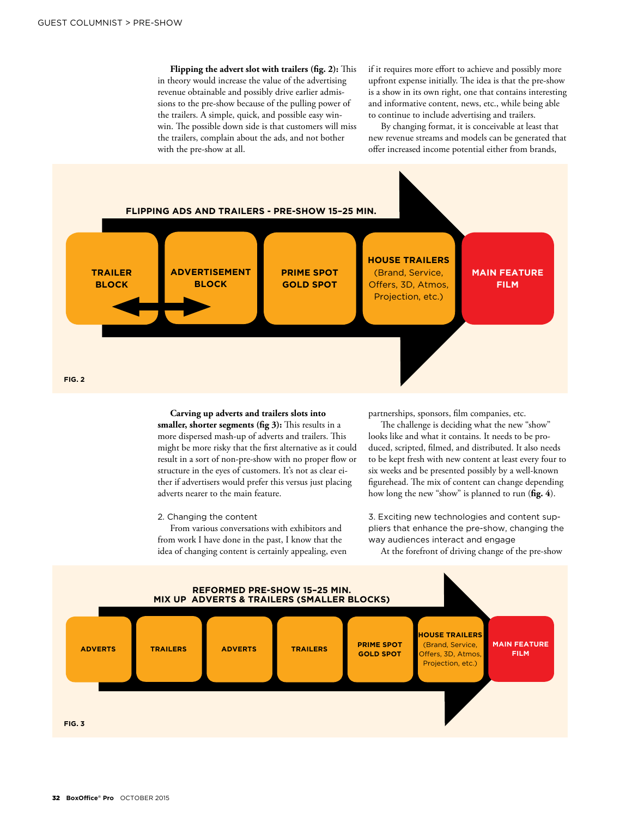**Flipping the advert slot with trailers (fig. 2):** This in theory would increase the value of the advertising revenue obtainable and possibly drive earlier admissions to the pre-show because of the pulling power of the trailers. A simple, quick, and possible easy winwin. The possible down side is that customers will miss the trailers, complain about the ads, and not bother with the pre-show at all.

if it requires more effort to achieve and possibly more upfront expense initially. The idea is that the pre-show is a show in its own right, one that contains interesting and informative content, news, etc., while being able to continue to include advertising and trailers.

By changing format, it is conceivable at least that new revenue streams and models can be generated that offer increased income potential either from brands,



**Carving up adverts and trailers slots into smaller, shorter segments (fig 3):** This results in a more dispersed mash-up of adverts and trailers. This might be more risky that the first alternative as it could result in a sort of non-pre-show with no proper flow or structure in the eyes of customers. It's not as clear either if advertisers would prefer this versus just placing adverts nearer to the main feature.

2. Changing the content

From various conversations with exhibitors and from work I have done in the past, I know that the idea of changing content is certainly appealing, even partnerships, sponsors, film companies, etc.

The challenge is deciding what the new "show" looks like and what it contains. It needs to be produced, scripted, filmed, and distributed. It also needs to be kept fresh with new content at least every four to six weeks and be presented possibly by a well-known figurehead. The mix of content can change depending how long the new "show" is planned to run (**fig. 4**).

3. Exciting new technologies and content suppliers that enhance the pre-show, changing the way audiences interact and engage

At the forefront of driving change of the pre-show

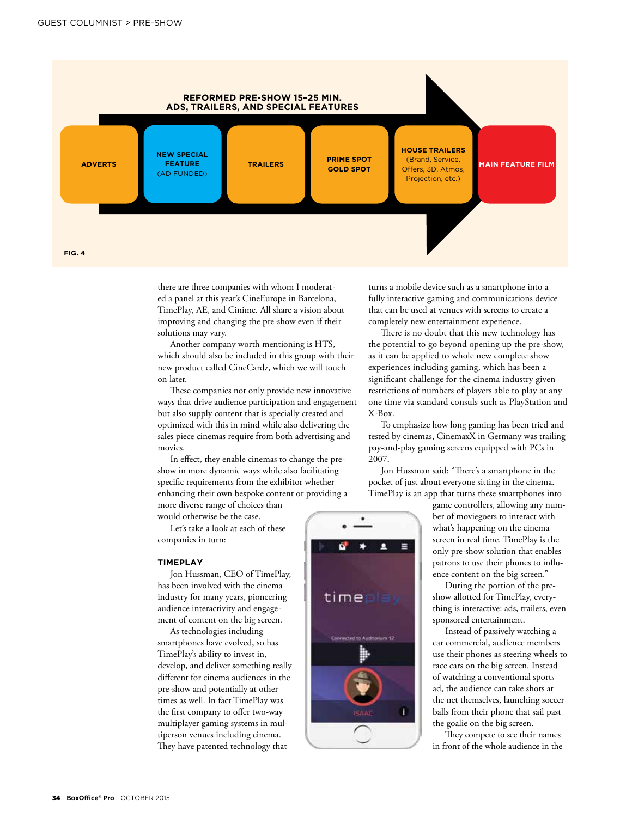

there are three companies with whom I moderated a panel at this year's CineEurope in Barcelona, TimePlay, AE, and Cinime. All share a vision about improving and changing the pre-show even if their solutions may vary.

Another company worth mentioning is HTS, which should also be included in this group with their new product called CineCardz, which we will touch on later.

These companies not only provide new innovative ways that drive audience participation and engagement but also supply content that is specially created and optimized with this in mind while also delivering the sales piece cinemas require from both advertising and movies.

In effect, they enable cinemas to change the preshow in more dynamic ways while also facilitating specific requirements from the exhibitor whether enhancing their own bespoke content or providing a more diverse range of choices than

would otherwise be the case.

Let's take a look at each of these companies in turn:

#### **TIMEPLAY**

Jon Hussman, CEO of TimePlay, has been involved with the cinema industry for many years, pioneering audience interactivity and engagement of content on the big screen.

As technologies including smartphones have evolved, so has TimePlay's ability to invest in, develop, and deliver something really different for cinema audiences in the pre-show and potentially at other times as well. In fact TimePlay was the first company to offer two-way multiplayer gaming systems in multiperson venues including cinema. They have patented technology that

turns a mobile device such as a smartphone into a fully interactive gaming and communications device that can be used at venues with screens to create a completely new entertainment experience.

There is no doubt that this new technology has the potential to go beyond opening up the pre-show, as it can be applied to whole new complete show experiences including gaming, which has been a significant challenge for the cinema industry given restrictions of numbers of players able to play at any one time via standard consuls such as PlayStation and X-Box.

To emphasize how long gaming has been tried and tested by cinemas, CinemaxX in Germany was trailing pay-and-play gaming screens equipped with PCs in 2007.

Jon Hussman said: "There's a smartphone in the pocket of just about everyone sitting in the cinema. TimePlay is an app that turns these smartphones into

д

timen

whet to Auditorium 12

T

game controllers, allowing any number of moviegoers to interact with what's happening on the cinema screen in real time. TimePlay is the only pre-show solution that enables patrons to use their phones to influence content on the big screen."

During the portion of the preshow allotted for TimePlay, everything is interactive: ads, trailers, even sponsored entertainment.

Instead of passively watching a car commercial, audience members use their phones as steering wheels to race cars on the big screen. Instead of watching a conventional sports ad, the audience can take shots at the net themselves, launching soccer balls from their phone that sail past the goalie on the big screen.

They compete to see their names in front of the whole audience in the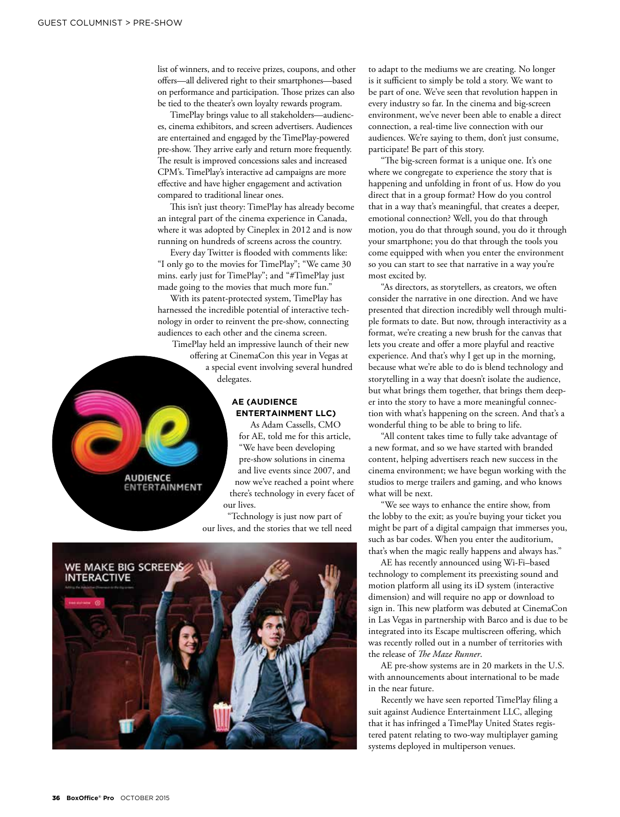list of winners, and to receive prizes, coupons, and other offers—all delivered right to their smartphones—based on performance and participation. Those prizes can also be tied to the theater's own loyalty rewards program.

TimePlay brings value to all stakeholders—audiences, cinema exhibitors, and screen advertisers. Audiences are entertained and engaged by the TimePlay-powered pre-show. They arrive early and return more frequently. The result is improved concessions sales and increased CPM's. TimePlay's interactive ad campaigns are more effective and have higher engagement and activation compared to traditional linear ones.

This isn't just theory: TimePlay has already become an integral part of the cinema experience in Canada, where it was adopted by Cineplex in 2012 and is now running on hundreds of screens across the country.

Every day Twitter is flooded with comments like: "I only go to the movies for TimePlay"; "We came 30 mins. early just for TimePlay"; and "#TimePlay just made going to the movies that much more fun."

With its patent-protected system, TimePlay has harnessed the incredible potential of interactive technology in order to reinvent the pre-show, connecting audiences to each other and the cinema screen. TimePlay held an impressive launch of their new

offering at CinemaCon this year in Vegas at a special event involving several hundred delegates.

#### **AE (AUDIENCE ENTERTAINMENT LLC)**

As Adam Cassells, CMO for AE, told me for this article, "We have been developing pre-show solutions in cinema and live events since 2007, and now we've reached a point where there's technology in every facet of our lives.

"Technology is just now part of our lives, and the stories that we tell need



**AUDIENCE ENTERTAINMENT**  to adapt to the mediums we are creating. No longer is it sufficient to simply be told a story. We want to be part of one. We've seen that revolution happen in every industry so far. In the cinema and big-screen environment, we've never been able to enable a direct connection, a real-time live connection with our audiences. We're saying to them, don't just consume, participate! Be part of this story.

"The big-screen format is a unique one. It's one where we congregate to experience the story that is happening and unfolding in front of us. How do you direct that in a group format? How do you control that in a way that's meaningful, that creates a deeper, emotional connection? Well, you do that through motion, you do that through sound, you do it through your smartphone; you do that through the tools you come equipped with when you enter the environment so you can start to see that narrative in a way you're most excited by.

"As directors, as storytellers, as creators, we often consider the narrative in one direction. And we have presented that direction incredibly well through multiple formats to date. But now, through interactivity as a format, we're creating a new brush for the canvas that lets you create and offer a more playful and reactive experience. And that's why I get up in the morning, because what we're able to do is blend technology and storytelling in a way that doesn't isolate the audience, but what brings them together, that brings them deeper into the story to have a more meaningful connection with what's happening on the screen. And that's a wonderful thing to be able to bring to life.

"All content takes time to fully take advantage of a new format, and so we have started with branded content, helping advertisers reach new success in the cinema environment; we have begun working with the studios to merge trailers and gaming, and who knows what will be next.

"We see ways to enhance the entire show, from the lobby to the exit; as you're buying your ticket you might be part of a digital campaign that immerses you, such as bar codes. When you enter the auditorium, that's when the magic really happens and always has."

AE has recently announced using Wi-Fi–based technology to complement its preexisting sound and motion platform all using its iD system (interactive dimension) and will require no app or download to sign in. This new platform was debuted at CinemaCon in Las Vegas in partnership with Barco and is due to be integrated into its Escape multiscreen offering, which was recently rolled out in a number of territories with the release of *The Maze Runner*.

AE pre-show systems are in 20 markets in the U.S. with announcements about international to be made in the near future.

Recently we have seen reported TimePlay filing a suit against Audience Entertainment LLC, alleging that it has infringed a TimePlay United States registered patent relating to two-way multiplayer gaming systems deployed in multiperson venues.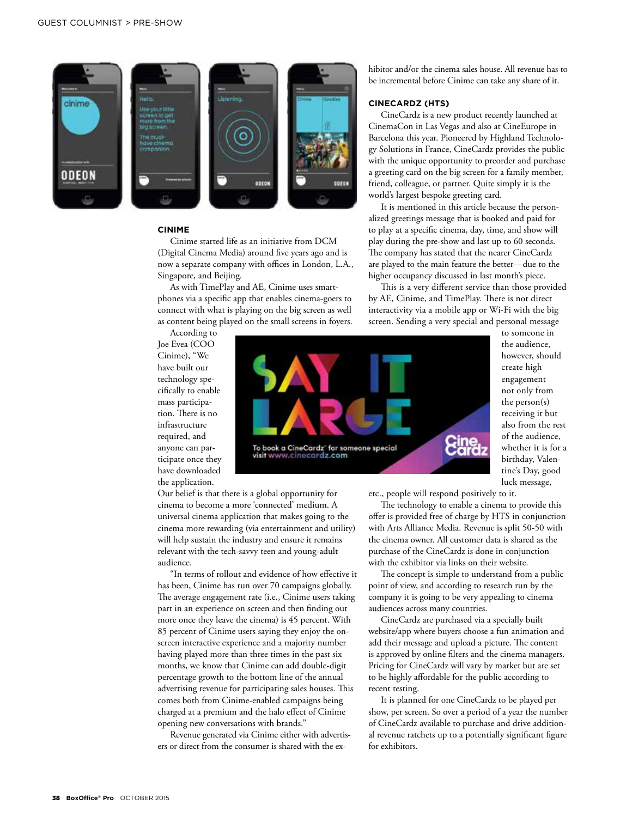

#### **CINIME**

Cinime started life as an initiative from DCM (Digital Cinema Media) around five years ago and is now a separate company with offices in London, L.A., Singapore, and Beijing.

As with TimePlay and AE, Cinime uses smartphones via a specific app that enables cinema-goers to connect with what is playing on the big screen as well as content being played on the small screens in foyers.

According to Joe Evea (COO Cinime), "We have built our technology specifically to enable mass participation. There is no infrastructure required, and anyone can participate once they have downloaded the application.

**Eine**<br>Carc To book a CineCardz' for someone special visit www.cinecardz.com

Our belief is that there is a global opportunity for cinema to become a more 'connected' medium. A universal cinema application that makes going to the cinema more rewarding (via entertainment and utility) will help sustain the industry and ensure it remains relevant with the tech-savvy teen and young-adult audience.

"In terms of rollout and evidence of how effective it has been, Cinime has run over 70 campaigns globally. The average engagement rate (i.e., Cinime users taking part in an experience on screen and then finding out more once they leave the cinema) is 45 percent. With 85 percent of Cinime users saying they enjoy the onscreen interactive experience and a majority number having played more than three times in the past six months, we know that Cinime can add double-digit percentage growth to the bottom line of the annual advertising revenue for participating sales houses. This comes both from Cinime-enabled campaigns being charged at a premium and the halo effect of Cinime opening new conversations with brands."

Revenue generated via Cinime either with advertisers or direct from the consumer is shared with the exhibitor and/or the cinema sales house. All revenue has to be incremental before Cinime can take any share of it.

#### **CINECARDZ (HTS)**

CineCardz is a new product recently launched at CinemaCon in Las Vegas and also at CineEurope in Barcelona this year. Pioneered by Highland Technology Solutions in France, CineCardz provides the public with the unique opportunity to preorder and purchase a greeting card on the big screen for a family member, friend, colleague, or partner. Quite simply it is the world's largest bespoke greeting card.

It is mentioned in this article because the personalized greetings message that is booked and paid for to play at a specific cinema, day, time, and show will play during the pre-show and last up to 60 seconds. The company has stated that the nearer CineCardz are played to the main feature the better—due to the higher occupancy discussed in last month's piece.

This is a very different service than those provided by AE, Cinime, and TimePlay. There is not direct interactivity via a mobile app or Wi-Fi with the big screen. Sending a very special and personal message

to someone in the audience, however, should create high engagement not only from the person(s) receiving it but also from the rest of the audience, whether it is for a birthday, Valentine's Day, good luck message,

etc., people will respond positively to it.

The technology to enable a cinema to provide this offer is provided free of charge by HTS in conjunction with Arts Alliance Media. Revenue is split 50-50 with the cinema owner. All customer data is shared as the purchase of the CineCardz is done in conjunction with the exhibitor via links on their website.

The concept is simple to understand from a public point of view, and according to research run by the company it is going to be very appealing to cinema audiences across many countries.

CineCardz are purchased via a specially built website/app where buyers choose a fun animation and add their message and upload a picture. The content is approved by online filters and the cinema managers. Pricing for CineCardz will vary by market but are set to be highly affordable for the public according to recent testing.

It is planned for one CineCardz to be played per show, per screen. So over a period of a year the number of CineCardz available to purchase and drive additional revenue ratchets up to a potentially significant figure for exhibitors.